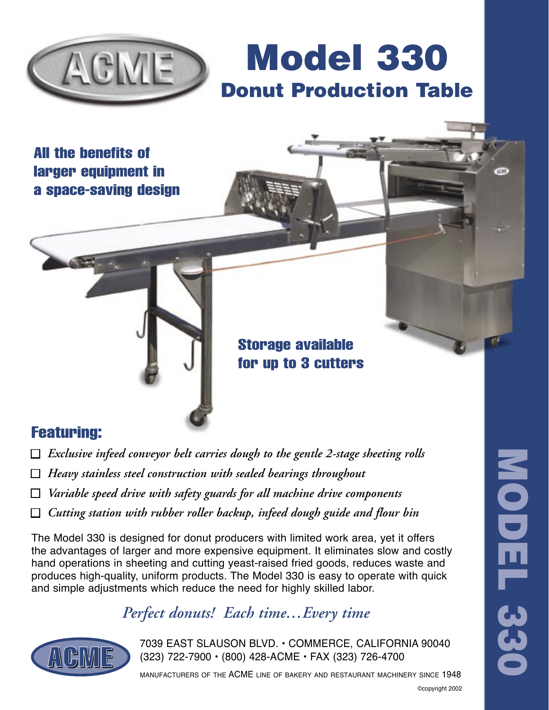

Model 330 Donut Production Table

All the benefits of larger equipment in a space-saving design



Storage available for up to 3 cutters

# Featuring:

- $\Box$  *Exclusive infeed conveyor belt carries dough to the gentle 2-stage sheeting rolls*
- ■ *Heavy stainless steel construction with sealed bearings throughout*
- ■ *Variable speed drive with safety guards for all machine drive components*
- □ *Cutting station with rubber roller backup, infeed dough guide and flour bin*

The Model 330 is designed for donut producers with limited work area, yet it offers the advantages of larger and more expensive equipment. It eliminates slow and costly hand operations in sheeting and cutting yeast-raised fried goods, reduces waste and produces high-quality, uniform products. The Model 330 is easy to operate with quick and simple adjustments which reduce the need for highly skilled labor.

# *Perfect donuts! Each time…Every time*



7039 EAST SLAUSON BLVD. • COMMERCE, CALIFORNIA 90040<br>(323) 722-7900 • (800) 428-ACME • FAX (323) 726-4700 (323) 722-7900 • (800) 428-ACME • FAX (323) 726-4700

MANUFACTURERS OF THE ACME LINE OF BAKERY AND RESTAURANT MACHINERY SINCE 1948